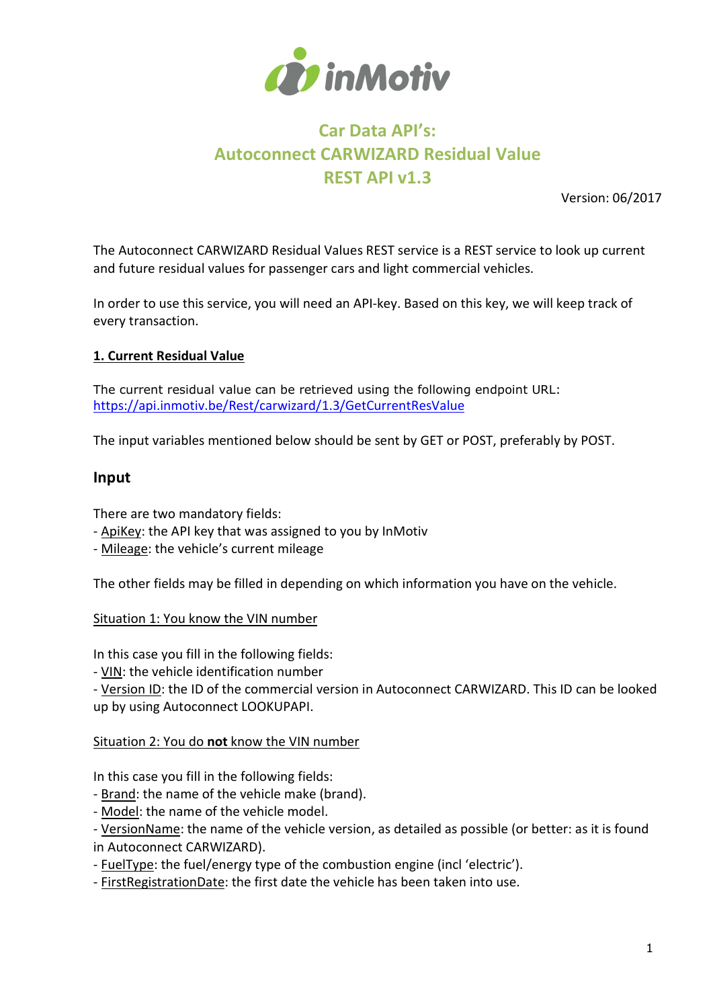

# Car Data API's: Autoconnect CARWIZARD Residual Value REST API v1.3

Version: 06/2017

The Autoconnect CARWIZARD Residual Values REST service is a REST service to look up current and future residual values for passenger cars and light commercial vehicles.

In order to use this service, you will need an API-key. Based on this key, we will keep track of every transaction.

### 1. Current Residual Value

The current residual value can be retrieved using the following endpoint URL: https://api.inmotiv.be/Rest/carwizard/1.3/GetCurrentResValue

The input variables mentioned below should be sent by GET or POST, preferably by POST.

#### Input

There are two mandatory fields:

- ApiKey: the API key that was assigned to you by InMotiv
- Mileage: the vehicle's current mileage

The other fields may be filled in depending on which information you have on the vehicle.

Situation 1: You know the VIN number

In this case you fill in the following fields:

- VIN: the vehicle identification number

- Version ID: the ID of the commercial version in Autoconnect CARWIZARD. This ID can be looked up by using Autoconnect LOOKUPAPI.

#### Situation 2: You do not know the VIN number

In this case you fill in the following fields:

- Brand: the name of the vehicle make (brand).

- Model: the name of the vehicle model.

- VersionName: the name of the vehicle version, as detailed as possible (or better: as it is found in Autoconnect CARWIZARD).

- FuelType: the fuel/energy type of the combustion engine (incl 'electric').

- FirstRegistrationDate: the first date the vehicle has been taken into use.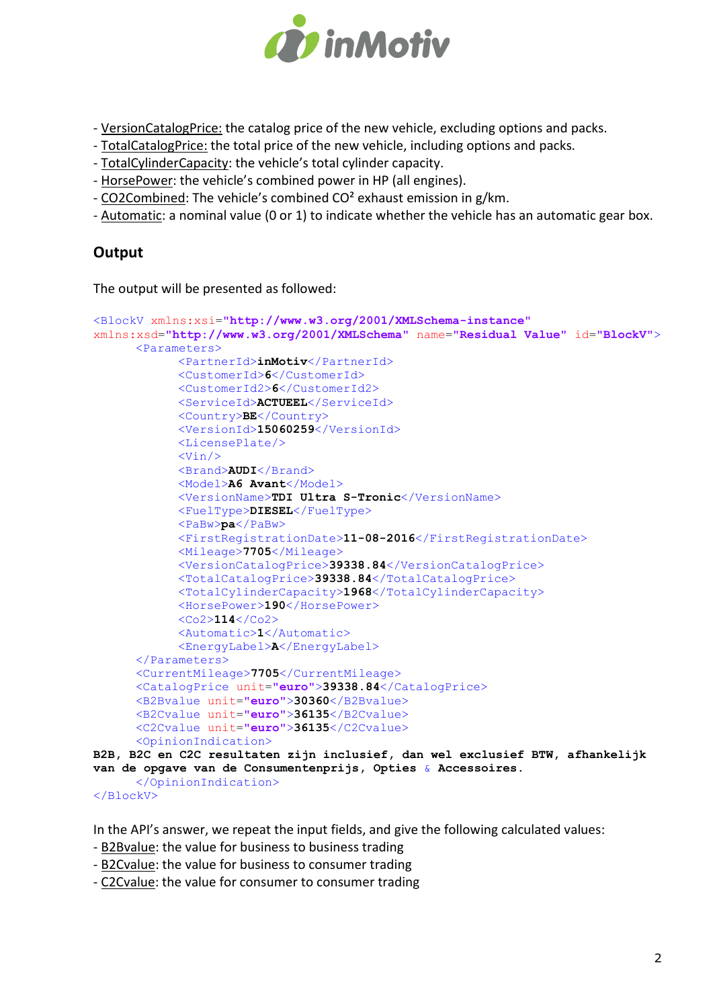

- VersionCatalogPrice: the catalog price of the new vehicle, excluding options and packs.

- TotalCatalogPrice: the total price of the new vehicle, including options and packs.
- TotalCylinderCapacity: the vehicle's total cylinder capacity.
- HorsePower: the vehicle's combined power in HP (all engines).
- CO2Combined: The vehicle's combined CO² exhaust emission in g/km.
- Automatic: a nominal value (0 or 1) to indicate whether the vehicle has an automatic gear box.

# **Output**

The output will be presented as followed:

```
<BlockV xmlns:xsi="http://www.w3.org/2001/XMLSchema-instance"
xmlns:xsd="http://www.w3.org/2001/XMLSchema" name="Residual Value" id="BlockV">
      <Parameters>
             <PartnerId>inMotiv</PartnerId>
             <CustomerId>6</CustomerId>
             <CustomerId2>6</CustomerId2>
             <ServiceId>ACTUEEL</ServiceId>
             <Country>BE</Country>
             <VersionId>15060259</VersionId>
             <LicensePlate/>
            \langleVin/ <Brand>AUDI</Brand>
            <Model>A6 Avant</Model>
             <VersionName>TDI Ultra S-Tronic</VersionName>
             <FuelType>DIESEL</FuelType>
             <PaBw>pa</PaBw>
             <FirstRegistrationDate>11-08-2016</FirstRegistrationDate>
             <Mileage>7705</Mileage>
             <VersionCatalogPrice>39338.84</VersionCatalogPrice>
             <TotalCatalogPrice>39338.84</TotalCatalogPrice>
             <TotalCylinderCapacity>1968</TotalCylinderCapacity>
             <HorsePower>190</HorsePower>
             <Co2>114</Co2>
             <Automatic>1</Automatic>
             <EnergyLabel>A</EnergyLabel>
      </Parameters>
      <CurrentMileage>7705</CurrentMileage>
      <CatalogPrice unit="euro">39338.84</CatalogPrice>
      <B2Bvalue unit="euro">30360</B2Bvalue>
      <B2Cvalue unit="euro">36135</B2Cvalue>
      <C2Cvalue unit="euro">36135</C2Cvalue>
     <OpinionIndication>
B2B, B2C en C2C resultaten zijn inclusief, dan wel exclusief BTW, afhankelijk 
van de opgave van de Consumentenprijs, Opties & Accessoires. 
     </OpinionIndication>
</BlockV>
```
In the API's answer, we repeat the input fields, and give the following calculated values:

- B2Bvalue: the value for business to business trading

- B2Cvalue: the value for business to consumer trading

- C2Cvalue: the value for consumer to consumer trading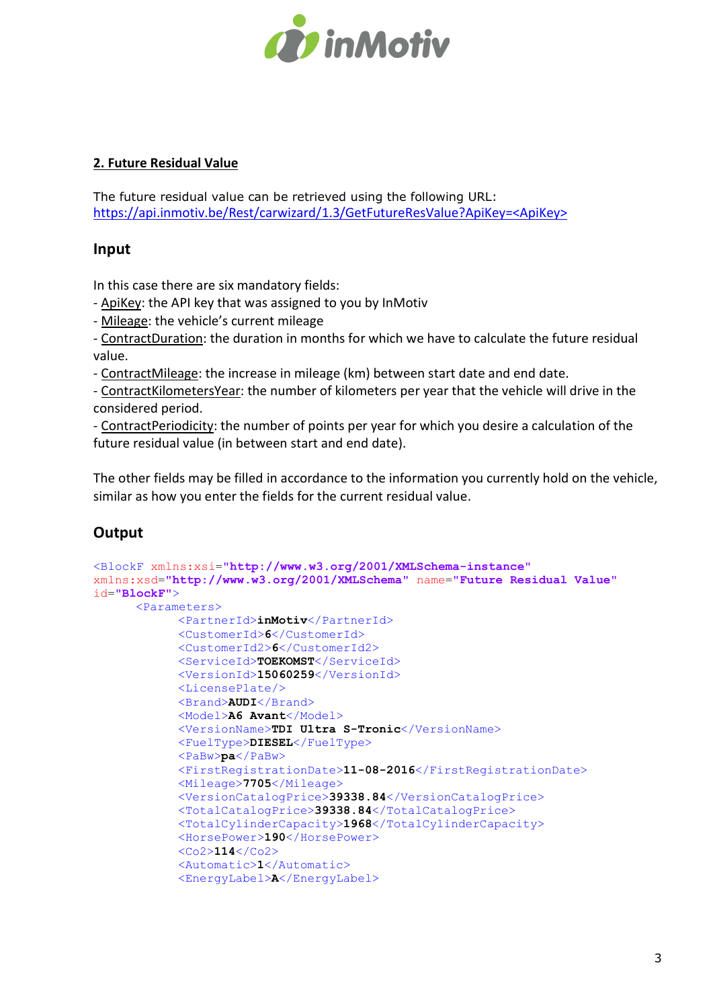

# 2. Future Residual Value

The future residual value can be retrieved using the following URL: https://api.inmotiv.be/Rest/carwizard/1.3/GetFutureResValue?ApiKey=<ApiKey>

## Input

In this case there are six mandatory fields:

- ApiKey: the API key that was assigned to you by InMotiv

- Mileage: the vehicle's current mileage

- ContractDuration: the duration in months for which we have to calculate the future residual value.

- ContractMileage: the increase in mileage (km) between start date and end date.

- ContractKilometersYear: the number of kilometers per year that the vehicle will drive in the considered period.

- ContractPeriodicity: the number of points per year for which you desire a calculation of the future residual value (in between start and end date).

The other fields may be filled in accordance to the information you currently hold on the vehicle, similar as how you enter the fields for the current residual value.

# **Output**

```
<BlockF xmlns:xsi="http://www.w3.org/2001/XMLSchema-instance"
xmlns:xsd="http://www.w3.org/2001/XMLSchema" name="Future Residual Value"
id="BlockF">
      <Parameters>
             <PartnerId>inMotiv</PartnerId>
             <CustomerId>6</CustomerId>
             <CustomerId2>6</CustomerId2>
             <ServiceId>TOEKOMST</ServiceId>
             <VersionId>15060259</VersionId>
             <LicensePlate/>
             <Brand>AUDI</Brand>
             <Model>A6 Avant</Model>
             <VersionName>TDI Ultra S-Tronic</VersionName>
             <FuelType>DIESEL</FuelType>
             <PaBw>pa</PaBw>
             <FirstRegistrationDate>11-08-2016</FirstRegistrationDate>
             <Mileage>7705</Mileage>
             <VersionCatalogPrice>39338.84</VersionCatalogPrice>
             <TotalCatalogPrice>39338.84</TotalCatalogPrice>
             <TotalCylinderCapacity>1968</TotalCylinderCapacity>
             <HorsePower>190</HorsePower>
            <\sim 2>114 < < <sub>02</sub></sub>
             <Automatic>1</Automatic>
             <EnergyLabel>A</EnergyLabel>
```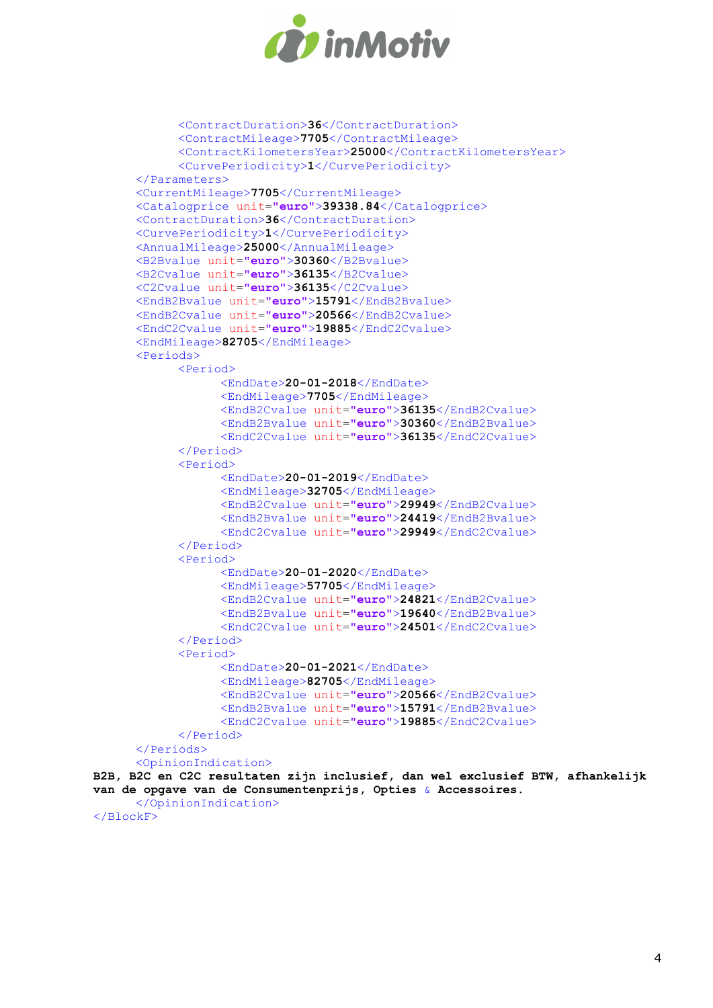

```
 <ContractDuration>36</ContractDuration>
             <ContractMileage>7705</ContractMileage>
             <ContractKilometersYear>25000</ContractKilometersYear>
             <CurvePeriodicity>1</CurvePeriodicity>
      </Parameters>
      <CurrentMileage>7705</CurrentMileage>
      <Catalogprice unit="euro">39338.84</Catalogprice>
      <ContractDuration>36</ContractDuration>
      <CurvePeriodicity>1</CurvePeriodicity>
      <AnnualMileage>25000</AnnualMileage>
      <B2Bvalue unit="euro">30360</B2Bvalue>
      <B2Cvalue unit="euro">36135</B2Cvalue>
      <C2Cvalue unit="euro">36135</C2Cvalue>
      <EndB2Bvalue unit="euro">15791</EndB2Bvalue>
      <EndB2Cvalue unit="euro">20566</EndB2Cvalue>
      <EndC2Cvalue unit="euro">19885</EndC2Cvalue>
      <EndMileage>82705</EndMileage>
      <Periods>
             <Period>
                   <EndDate>20-01-2018</EndDate>
                   <EndMileage>7705</EndMileage>
                   <EndB2Cvalue unit="euro">36135</EndB2Cvalue>
                   <EndB2Bvalue unit="euro">30360</EndB2Bvalue>
                   <EndC2Cvalue unit="euro">36135</EndC2Cvalue>
             </Period>
             <Period>
                   <EndDate>20-01-2019</EndDate>
                   <EndMileage>32705</EndMileage>
                   <EndB2Cvalue unit="euro">29949</EndB2Cvalue>
                   <EndB2Bvalue unit="euro">24419</EndB2Bvalue>
                   <EndC2Cvalue unit="euro">29949</EndC2Cvalue>
             </Period>
             <Period>
                   <EndDate>20-01-2020</EndDate>
                   <EndMileage>57705</EndMileage>
                   <EndB2Cvalue unit="euro">24821</EndB2Cvalue>
                   <EndB2Bvalue unit="euro">19640</EndB2Bvalue>
                   <EndC2Cvalue unit="euro">24501</EndC2Cvalue>
             </Period>
             <Period>
                   <EndDate>20-01-2021</EndDate>
                   <EndMileage>82705</EndMileage>
                   <EndB2Cvalue unit="euro">20566</EndB2Cvalue>
                   <EndB2Bvalue unit="euro">15791</EndB2Bvalue>
                   <EndC2Cvalue unit="euro">19885</EndC2Cvalue>
             </Period>
      </Periods>
      <OpinionIndication>
B2B, B2C en C2C resultaten zijn inclusief, dan wel exclusief BTW, afhankelijk 
van de opgave van de Consumentenprijs, Opties & Accessoires. 
      </OpinionIndication>
</BlockF>
```
4